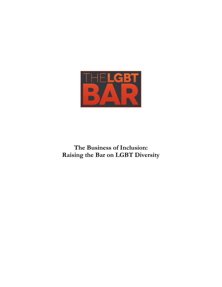

**The Business of Inclusion: Raising the Bar on LGBT Diversity**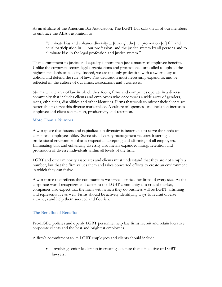As an affiliate of the American Bar Association, The LGBT Bar calls on all of our members to embrace the ABA's aspiration to

"eliminate bias and enhance diversity ... [through the] … promotion [of] full and equal participation in … our profession, and the justice system by all persons and to eliminate bias in the legal profession and justice system."

That commitment to justice and equality is more than just a matter of employee benefits. Unlike the corporate sector, legal organizations and professionals are called to uphold the highest standards of equality. Indeed, we are the only profession with a sworn duty to uphold and defend the rule of law. This dedication must necessarily expand to, and be reflected in, the culture of our firms, associations and businesses.

No matter the area of law in which they focus, firms and companies operate in a diverse community that includes clients and employees who encompass a wide array of genders, races, ethnicities, disabilities and other identities. Firms that work to mirror their clients are better able to serve this diverse marketplace. A culture of openness and inclusion increases employee and client satisfaction, productivity and retention.

#### **More Than a Number**

A workplace that fosters and capitalizes on diversity is better able to serve the needs of clients and employees alike. Successful diversity management requires fostering a professional environment that is respectful, accepting and affirming of all employees. Eliminating bias and enhancing diversity also means expanded hiring, retention and promotion of diverse individuals within all levels of the firm.

LGBT and other minority associates and clients must understand that they are not simply a number, but that the firm values them and takes concerted efforts to create an environment in which they can thrive.

A workforce that reflects the communities we serve is critical for firms of every size. As the corporate world recognizes and caters to the LGBT community as a crucial market, companies also expect that the firms with which they do business will be LGBT-affirming and representative as well. Firms should be actively identifying ways to recruit diverse attorneys and help them succeed and flourish.

#### **The Benefits of Benefits**

Pro-LGBT policies and openly LGBT personnel help law firms recruit and retain lucrative corporate clients and the best and brightest employees.

A firm's commitment to its LGBT employees and clients should include:

• Involving senior leadership in creating a culture that is inclusive of LGBT lawyers;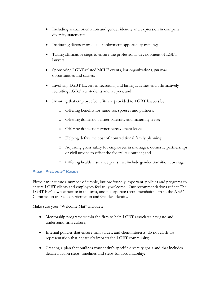- Including sexual orientation and gender identity and expression in company diversity statement;
- Instituting diversity or equal employment opportunity training;
- Taking affirmative steps to ensure the professional development of LGBT lawyers;
- Sponsoring LGBT-related MCLE events, bar organizations, *pro bono*  opportunities and causes;
- Involving LGBT lawyers in recruiting and hiring activities and affirmatively recruiting LGBT law students and lawyers; and
- Ensuring that employee benefits are provided to LGBT lawyers by:
	- o Offering benefits for same-sex spouses and partners;
	- o Offering domestic partner paternity and maternity leave;
	- o Offering domestic partner bereavement leave;
	- o Helping defray the cost of nontraditional family planning;
	- o Adjusting gross salary for employees in marriages, domestic partnerships or civil unions to offset the federal tax burden; and
	- o Offering health insurance plans that include gender transition coverage.

# **What "Welcome" Means**

Firms can institute a number of simple, but profoundly important, policies and programs to ensure LGBT clients and employees feel truly welcome. Our recommendations reflect The LGBT Bar's own expertise in this area, and incorporate recommendations from the ABA's Commission on Sexual Orientation and Gender Identity.

Make sure your "Welcome Mat" includes:

- Mentorship programs within the firm to help LGBT associates navigate and understand firm culture;
- Internal policies that ensure firm values, and client interests, do not clash via representation that negatively impacts the LGBT community;
- Creating a plan that outlines your entity's specific diversity goals and that includes detailed action steps, timelines and steps for accountability;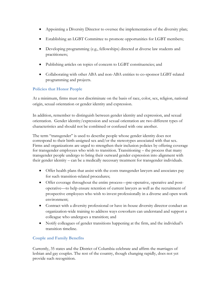- Appointing a Diversity Director to oversee the implementation of the diversity plan;
- Establishing an LGBT Committee to promote opportunities for LGBT members;
- Developing programming (e.g., fellowships) directed at diverse law students and practitioners;
- Publishing articles on topics of concern to LGBT constituencies; and
- Collaborating with other ABA and non-ABA entities to co-sponsor LGBT-related programming and projects.

## **Policies that Honor People**

At a minimum, firms must not discriminate on the basis of race, color, sex, religion, national origin, sexual orientation or gender identity and expression.

In addition, remember to distinguish between gender identity and expression, and sexual orientation. Gender identity/expression and sexual orientation are two different types of characteristics and should not be combined or confused with one another.

The term "transgender" is used to describe people whose gender identity does not correspond to their birth-assigned sex and/or the stereotypes associated with that sex. Firms and organizations are urged to strengthen their inclusion policies by offering coverage for transgender employees who wish to transition. Transitioning – the process that many transgender people undergo to bring their outward gender expression into alignment with their gender identity – can be a medically necessary treatment for transgender individuals.

- Offer health plans that assist with the costs transgender lawyers and associates pay for such transition-related procedures;
- Offer coverage throughout the entire process—pre-operative, operative and postoperative—to help ensure retention of current lawyers as well as the recruitment of prospective employees who wish to invest professionally in a diverse and open work environment;
- Contract with a diversity professional or have in-house diversity director conduct an organization-wide training to address ways coworkers can understand and support a colleague who undergoes a transition; and
- Notify colleagues of gender transitions happening at the firm, and the individual's transition timeline.

# **Couple and Family Benefits**

Currently, 35 states and the District of Columbia celebrate and affirm the marriages of lesbian and gay couples. The rest of the country, though changing rapidly, does not yet provide such recognition.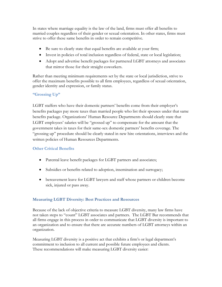In states where marriage equality is the law of the land, firms must offer all benefits to married couples regardless of their gender or sexual orientation. In other states, firms must strive to offer these same benefits in order to remain competitive.

- Be sure to clearly state that equal benefits are available at your firm;
- Invest in policies of total inclusion regardless of federal, state or local legislation;
- Adopt and advertise benefit packages for partnered LGBT attorneys and associates that mirror those for their straight coworkers.

Rather than meeting minimum requirements set by the state or local jurisdiction, strive to offer the maximum benefits possible to all firm employees, regardless of sexual orientation, gender identity and expression, or family status.

# **"Grossing Up"**

LGBT staffers who have their domestic partners' benefits come from their employer's benefits packages pay more taxes than married people who list their spouses under that same benefits package. Organizations' Human Resource Departments should clearly state that LGBT employees' salaries will be "grossed up" to compensate for the amount that the government takes in taxes for their same-sex domestic partners' benefits coverage. The "grossing up" procedure should be clearly stated in new hire orientations, interviews and the written policies of Human Resources Departments.

#### **Other Critical Benefits**

- Parental leave benefit packages for LGBT partners and associates;
- Subsidies or benefits related to adoption, insemination and surrogacy;
- bereavement leave for LGBT lawyers and staff whose partners or children become sick, injured or pass away.

#### **Measuring LGBT Diversity: Best Practices and Resources**

Because of the lack of objective criteria to measure LGBT diversity, many law firms have not taken steps to "count" LGBT associates and partners. The LGBT Bar recommends that all firms engage in this process in order to communicate that LGBT diversity is important to an organization and to ensure that there are accurate numbers of LGBT attorneys within an organization.

Measuring LGBT diversity is a positive act that exhibits a firm's or legal department's commitment to inclusion to all current and possible future employees and clients. These recommendations will make measuring LGBT diversity easier: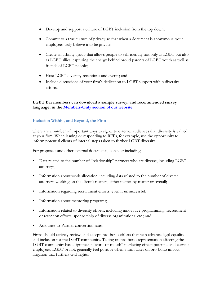- Develop and support a culture of LGBT inclusion from the top down;
- Commit to a true culture of privacy so that when a document is anonymous, your employees truly believe it to be private;
- Create an affinity group that allows people to self-identity not only as LGBT but also as LGBT allies, capturing the energy behind proud parents of LGBT youth as well as friends of LGBT people;
- Host LGBT diversity receptions and events; and
- Include discussions of your firm's dedication to LGBT support within diversity efforts.

**LGBT Bar members can download a sample survey, and recommended survey language, in the [Members-Only section of our website.](http://lgbtbar.org/what-we-do/member-groups/corporate-counsel/corporate-counsel-resources/)** 

## **Inclusion Within, and Beyond, the Firm**

There are a number of important ways to signal to external audiences that diversity is valued at your firm. When issuing or responding to RFPs, for example, use the opportunity to inform potential clients of internal steps taken to further LGBT diversity.

For proposals and other external documents, consider including:

- Data related to the number of "relationship" partners who are diverse, including LGBT attorneys;
- Information about work allocation, including data related to the number of diverse attorneys working on the client's matters, either matter-by-matter or overall;
- Information regarding recruitment efforts, even if unsuccessful;
- Information about mentoring programs;
- Information related to diversity efforts, including innovative programming, recruitment or retention efforts, sponsorship of diverse organizations, etc.; and
- Associate-to-Partner conversion rates.

Firms should actively review, and accept, pro-bono efforts that help advance legal equality and inclusion for the LGBT community. Taking on pro-bono representation affecting the LGBT community has a significant "word-of-mouth" marketing effect: potential and current employees, LGBT or not, generally feel positive when a firm takes on pro-bono impact litigation that furthers civil rights.